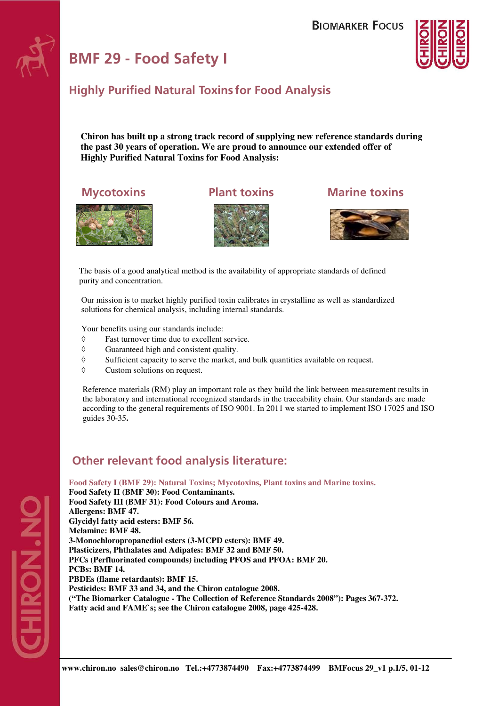# **BMF 29 - Food Safety I**



#### **Highly Purified Natural Toxins for Food Analysis**

 **Chiron has built up a strong track record of supplying new reference standards during the past 30 years of operation. We are proud to announce our extended offer of Highly Purified Natural Toxins for Food Analysis:** 





#### **Mycotoxins Plant toxins Marine toxins**



The basis of a good analytical method is the availability of appropriate standards of defined purity and concentration.

 Our mission is to market highly purified toxin calibrates in crystalline as well as standardized solutions for chemical analysis, including internal standards.

Your benefits using our standards include:

- ◊ Fast turnover time due to excellent service.
- ◊ Guaranteed high and consistent quality.
- ◊ Sufficient capacity to serve the market, and bulk quantities available on request.
- ◊ Custom solutions on request.

Reference materials (RM) play an important role as they build the link between measurement results in the laboratory and international recognized standards in the traceability chain. Our standards are made according to the general requirements of ISO 9001. In 2011 we started to implement ISO 17025 and ISO guides 30-35**.** 

### **Other relevant food analysis literature:**

**Food Safety I (BMF 29): Natural Toxins; Mycotoxins, Plant toxins and Marine toxins.** 

**Food Safety II (BMF 30): Food Contaminants. Food Safety III (BMF 31): Food Colours and Aroma. Allergens: BMF 47. Glycidyl fatty acid esters: BMF 56. Melamine: BMF 48. 3-Monochloropropanediol esters (3-MCPD esters): BMF 49. Plasticizers, Phthalates and Adipates: BMF 32 and BMF 50. PFCs (Perfluorinated compounds) including PFOS and PFOA: BMF 20. PCBs: BMF 14. PBDEs (flame retardants): BMF 15. Pesticides: BMF 33 and 34, and the Chiron catalogue 2008. ("The Biomarker Catalogue - The Collection of Reference Standards 2008"): Pages 367-372. Fatty acid and FAME`s; see the Chiron catalogue 2008, page 425-428.**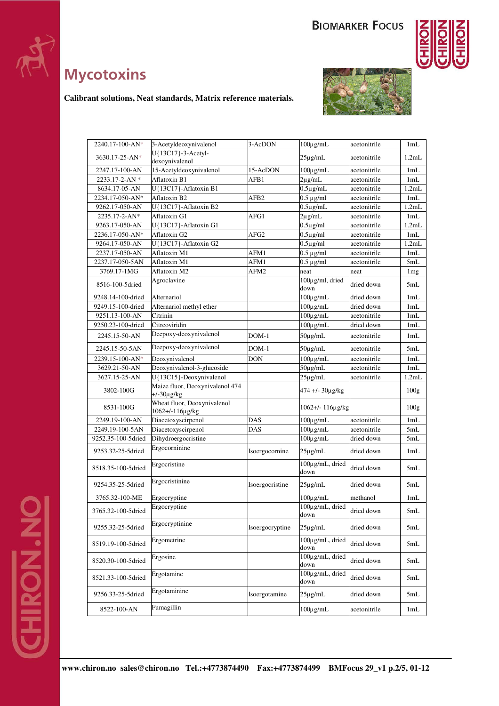

# **Mycotoxins**



**ONIFO** 

**Calibrant solutions, Neat standards, Matrix reference materials.** 

| $2240.17 - 100 - AN*$ | 3-Acetyldeoxynivalenol                             | 3-AcDON          | $100\mu$ g/mL                              | acetonitrile | 1mL              |
|-----------------------|----------------------------------------------------|------------------|--------------------------------------------|--------------|------------------|
| $3630.17 - 25 - AN*$  | U{13C17}-3-Acetyl-<br>dexoynivalenol               |                  | $25\mu$ g/mL                               | acetonitrile | 1.2mL            |
| 2247.17-100-AN        | 15-Acetyldeoxynivalenol                            | 15-AcDON         | $100\mu$ g/mL                              | acetonitrile | 1mL              |
| 2233.17-2-AN*         | Aflatoxin B1                                       | AFB1             | $2\mu$ g/mL                                | acetonitrile | 1mL              |
| 8634.17-05-AN         | U{13C17}-Aflatoxin B1                              |                  | $0.5\mu$ g/mL                              | acetonitrile | 1.2mL            |
| 2234.17-050-AN*       | Aflatoxin B2                                       | AFB <sub>2</sub> | $0.5 \mu$ g/ml                             | acetonitrile | 1mL              |
| 9262.17-050-AN        | U{13C17}-Aflatoxin B2                              |                  | $0.5 \mu g/mL$                             | acetonitrile | 1.2mL            |
| 2235.17-2-AN*         | Aflatoxin G1                                       | AFG1             | $2\mu$ g/mL                                | acetonitrile | 1mL              |
| 9263.17-050-AN        | U{13C17}-Aflatoxin G1                              |                  | $0.5\mu$ g/ml                              | acetonitrile | 1.2mL            |
| 2236.17-050-AN*       | Aflatoxin G2                                       | AFG2             | $0.5 \mu g/ml$                             | acetonitrile | 1mL              |
| 9264.17-050-AN        | U{13C17}-Aflatoxin G2                              |                  | $0.5 \mu g/ml$                             | acetonitrile | 1.2mL            |
| 2237.17-050-AN        | Aflatoxin M1                                       | AFM1             | $0.5 \mu$ g/ml                             | acetonitrile | 1mL              |
| 2237.17-050-5AN       | Aflatoxin M1                                       | AFM1             | $0.5 \mu g/ml$                             | acetonitrile | 5mL              |
| 3769.17-1MG           | Aflatoxin M2                                       | AFM2             | neat                                       | neat         | 1mg              |
| 8516-100-5dried       | Agroclavine                                        |                  | $100 \mu g/ml$ , dried<br>down             | dried down   | 5mL              |
| 9248.14-100-dried     | Alternariol                                        |                  | $100\mu$ g/mL                              | dried down   | 1mL              |
| 9249.15-100-dried     | Alternariol methyl ether                           |                  | $100\mu$ g/mL                              | dried down   | 1mL              |
| 9251.13-100-AN        | Citrinin                                           |                  | $100 \mu g/mL$                             | acetonitrile | 1mL              |
| 9250.23-100-dried     | Citreoviridin                                      |                  | $100 \mu g/mL$                             | dried down   | 1mL              |
| 2245.15-50-AN         | Deepoxy-deoxynivalenol                             | $DOM-1$          | $50\mu$ g/mL                               | acetonitrile | 1mL              |
| 2245.15-50-5AN        | Deepoxy-deoxynivalenol                             | $DOM-1$          | $50\mu$ g/mL                               | acetonitrile | 5mL              |
| 2239.15-100-AN*       | Deoxynivalenol                                     | <b>DON</b>       | $100\mu$ g/mL                              | acetonitrile | 1mL              |
| 3629.21-50-AN         | Deoxynivalenol-3-glucoside                         |                  | $50 \mu g/mL$                              | acetonitrile | 1mL              |
| 3627.15-25-AN         | U{13C15}-Deoxynivalenol                            |                  | $25\mu$ g/mL                               | acetonitrile | 1.2mL            |
| 3802-100G             | Maize fluor, Deoxynivalenol 474<br>$+/-30\mu$ g/kg |                  | 474 +/- 30µg/kg                            |              | 100 <sub>g</sub> |
| 8531-100G             | Wheat fluor, Deoxynivalenol<br>1062+/-116µg/kg     |                  | 1062+/- 116µg/kg                           |              | 100 <sub>g</sub> |
| 2249.19-100-AN        | Diacetoxyscirpenol                                 | <b>DAS</b>       | $100\mu$ g/mL                              | acetonitrile | 1mL              |
| 2249.19-100-5AN       | Diacetoxyscirpenol                                 | DAS              | $100\mu$ g/mL                              | acetonitrile | 5mL              |
| 9252.35-100-5dried    | Dihydroergocristine                                |                  | $100\mu$ g/mL                              | dried down   | 5mL              |
| 9253.32-25-5dried     | Ergocorninine                                      | Isoergocornine   | $25\mu$ g/mL                               | dried down   | 1mL              |
| 8518.35-100-5dried    | Ergocristine                                       |                  | 100µg/mL, dried<br>down                    | dried down   | 5mL              |
| 9254.35-25-5dried     | Ergocristinine                                     | Isoergocristine  | $25\mu$ g/mL                               | dried down   | 5mL              |
| 3765.32-100-ME        | Ergocryptine                                       |                  | $100\mu$ g/mL                              | methanol     | 1mL              |
| 3765.32-100-5dried    | Ergocryptine                                       |                  | 100µg/mL, dried<br>down                    | dried down   | 5mL              |
| 9255.32-25-5dried     | Ergocryptinine                                     | Isoergocryptine  | $25\mu$ g/mL                               | dried down   | 5mL              |
| 8519.19-100-5dried    | Ergometrine                                        |                  | 100µg/mL, dried<br>dried down<br>down      |              | 5mL              |
| 8520.30-100-5dried    | Ergosine                                           |                  | 100µg/mL, dried<br>dried down<br>down      |              | 5mL              |
| 8521.33-100-5dried    | Ergotamine                                         |                  | $100\mu$ g/mL, dried<br>dried down<br>down |              | 5mL              |
| 9256.33-25-5dried     | Ergotaminine                                       | Isoergotamine    | $25\mu$ g/mL                               | dried down   | 5mL              |
| 8522-100-AN           | Fumagillin                                         |                  | $100\mu$ g/mL                              | acetonitrile | 1mL              |
|                       |                                                    |                  |                                            |              |                  |

PON.NO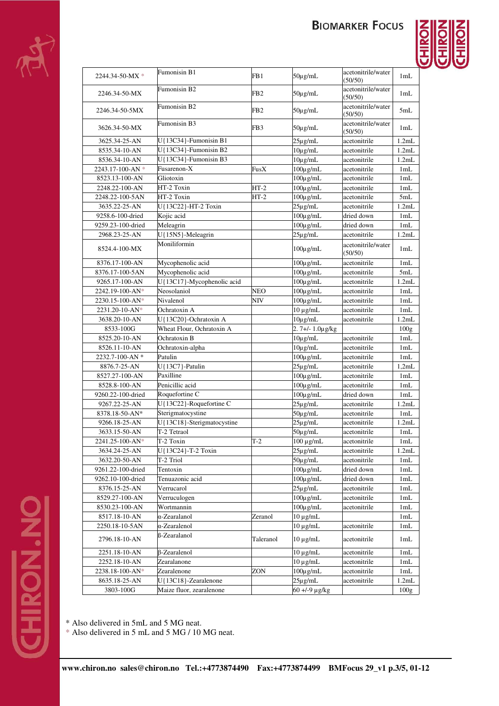



| $2244.34 - 50$ -MX $*$           | Fumonisin B1               | FB1             | $50\mu$ g/mL                   | acetonitrile/water<br>(50/50) | 1mL              |
|----------------------------------|----------------------------|-----------------|--------------------------------|-------------------------------|------------------|
| 2246.34-50-MX                    | Fumonisin B2               | FB <sub>2</sub> | $50\mu$ g/mL                   | acetonitrile/water<br>(50/50) | 1mL              |
| 2246.34-50-5MX                   | Fumonisin B2               | FB <sub>2</sub> | $50\mu$ g/mL                   | acetonitrile/water<br>(50/50) | 5mL              |
| 3626.34-50-MX                    | <b>Fumonisin B3</b>        | FB3             | 50µg/mL                        | acetonitrile/water<br>(50/50) | 1mL              |
| 3625.34-25-AN                    | U{13C34}-Fumonisin B1      |                 | $25\mu$ g/mL                   | acetonitrile                  | 1.2mL            |
| 8535.34-10-AN                    | U{13C34}-Fumonisin B2      |                 | $10\mu$ g/mL                   | acetonitrile                  | 1.2mL            |
| 8536.34-10-AN                    | U{13C34}-Fumonisin B3      |                 | $10\mu$ g/mL                   | acetonitrile                  | 1.2mL            |
| 2243.17-100-AN $*$               | Fusarenon-X                | FusX            | $100\mu$ g/mL                  | acetonitrile                  | 1mL              |
| 8523.13-100-AN                   | Gliotoxin                  |                 | $100\mu$ g/mL                  | acetonitrile                  | 1mL              |
| 2248.22-100-AN                   | HT-2 Toxin                 | $HT-2$          | $100 \mu g/mL$                 | acetonitrile                  | 1mL              |
| 2248.22-100-5AN                  | HT-2 Toxin                 | $HT-2$          | $100\mu$ g/mL                  | acetonitrile                  | 5mL              |
| 3635.22-25-AN                    | U{13C22}-HT-2 Toxin        |                 | $25\mu$ g/mL                   | acetonitrile                  | 1.2mL            |
| 9258.6-100-dried                 | Kojic acid                 |                 | $100\mu$ g/mL                  | dried down                    | 1mL              |
| 9259.23-100-dried                | Meleagrin                  |                 | $100\mu$ g/mL                  | dried down                    | 1mL              |
| 2968.23-25-AN                    | U{15N5}-Meleagrin          |                 | $25\mu$ g/mL                   | acetonitrile                  | 1.2mL            |
| 8524.4-100-MX                    | Moniliformin               |                 | $100\mu$ g/mL                  | acetonitrile/water<br>(50/50) | 1mL              |
| 8376.17-100-AN                   | Mycophenolic acid          |                 | $100\mu$ g/mL                  | acetonitrile                  | 1mL              |
| 8376.17-100-5AN                  | Mycophenolic acid          |                 | $100 \mu g/mL$                 | acetonitrile                  | 5mL              |
| 9265.17-100-AN                   | U{13C17}-Mycophenolic acid |                 | $100\mu$ g/mL                  | acetonitrile                  | 1.2mL            |
| 2242.19-100-AN*                  | Neosolaniol                | NEO             | $100\mu$ g/mL                  | acetonitrile                  | 1mL              |
| 2230.15-100-AN*                  | Nivalenol                  | NIV             | $100 \mu g/mL$                 | acetonitrile                  | 1mL              |
| 2231.20-10-AN*                   | Ochratoxin A               |                 | $10 \mu g/mL$                  | acetonitrile                  | 1mL              |
| 3638.20-10-AN                    | U{13C20}-Ochratoxin A      |                 | $10\mu$ g/mL                   | acetonitrile                  | 1.2mL            |
| 8533-100G                        | Wheat Flour, Ochratoxin A  |                 | $2.7 +/- 1.0 \mu$ g/kg         |                               | 100g             |
| 8525.20-10-AN                    | Ochratoxin B               |                 | $10\mu$ g/mL                   | acetonitrile                  | 1mL              |
| 8526.11-10-AN                    | Ochratoxin-alpha           |                 | $10\mu g/mL$                   | acetonitrile                  | 1mL              |
| 2232.7-100-AN *                  | Patulin                    |                 | $100\mu$ g/mL                  | acetonitrile                  | 1mL              |
| 8876.7-25-AN                     | U{13C7}-Patulin            |                 | $25\mu$ g/mL                   | acetonitrile                  | 1.2mL            |
| 8527.27-100-AN                   | Paxilline                  |                 | $100\mu$ g/mL                  | acetonitrile                  | 1mL              |
| 8528.8-100-AN                    | Penicillic acid            |                 | $100\mu$ g/mL                  | acetonitrile                  | 1mL              |
| 9260.22-100-dried                | Roquefortine C             |                 | $100\mu$ g/mL                  | dried down                    | 1mL              |
| 9267.22-25-AN                    | U{13C22}-Roquefortine C    |                 | $25\mu$ g/mL                   | acetonitrile                  | 1.2mL            |
| 8378.18-50-AN*                   | Sterigmatocystine          |                 | $50\mu$ g/mL                   | acetonitrile                  | 1mL              |
| 9266.18-25-AN                    | U{13C18}-Sterigmatocystine |                 | $25\mu$ g/mL                   | acetonitrile                  | 1.2mL            |
| 3633.15-50-AN                    | T-2 Tetraol                |                 | $50\mu g/mL$                   | acetonitrile                  | 1mL              |
| 2241.25-100-AN*                  | T-2 Toxin                  | $T-2$           | $100 \mu g/mL$                 | acetonitrile                  | 1mL              |
| 3634.24-25-AN                    | U{13C24}-T-2 Toxin         |                 | $25\mu$ g/mL                   | acetonitrile                  | 1.2mL            |
| 3632.20-50-AN                    | T-2 Triol                  |                 | $50\mu$ g/mL                   | acetonitrile                  | 1mL              |
| 9261.22-100-dried                | Tentoxin                   |                 | $100 \mu g/mL$                 | dried down                    | 1mL              |
| 9262.10-100-dried                | Tenuazonic acid            |                 | $100\mu g/mL$                  | dried down                    | 1mL              |
| 8376.15-25-AN                    | Verrucarol                 |                 | $25\mu$ g/mL                   | acetonitrile                  | 1mL              |
| 8529.27-100-AN<br>8530.23-100-AN | Verruculogen<br>Wortmannin |                 | $100\mu$ g/mL                  | acetonitrile<br>acetonitrile  | 1mL              |
|                                  | α-Zearalanol               |                 | $100\mu\text{g/mL}$            |                               | 1mL              |
| 8517.18-10-AN<br>2250.18-10-5AN  | α-Zearalenol               | Zeranol         | $10 \mu g/mL$<br>$10 \mu g/mL$ | acetonitrile                  | 1mL<br>1mL       |
| 2796.18-10-AN                    | <b>ß-Zearalanol</b>        | Taleranol       | $10 \mu g/mL$                  | acetonitrile                  | 1mL              |
| 2251.18-10-AN                    | β-Zearalenol               |                 | $10 \mu g/mL$                  | acetonitrile                  | 1mL              |
| 2252.18-10-AN                    | Zearalanone                |                 | $10 \mu g/mL$                  | acetonitrile                  | 1mL              |
| 2238.18-100-AN*                  | Zearalenone                | ZON             | $100\mu$ g/mL                  | acetonitrile                  | 1mL              |
| 8635.18-25-AN                    | U{13C18}-Zearalenone       |                 | $25\mu$ g/mL                   | acetonitrile                  | 1.2mL            |
| 3803-100G                        | Maize fluor, zearalenone   |                 | $60 + (-9)$ µg/kg              |                               | 100 <sub>g</sub> |
|                                  |                            |                 |                                |                               |                  |

\* Also delivered in 5mL and 5 MG neat.

\* Also delivered in 5 mL and 5 MG / 10 MG neat.

**PON.NO**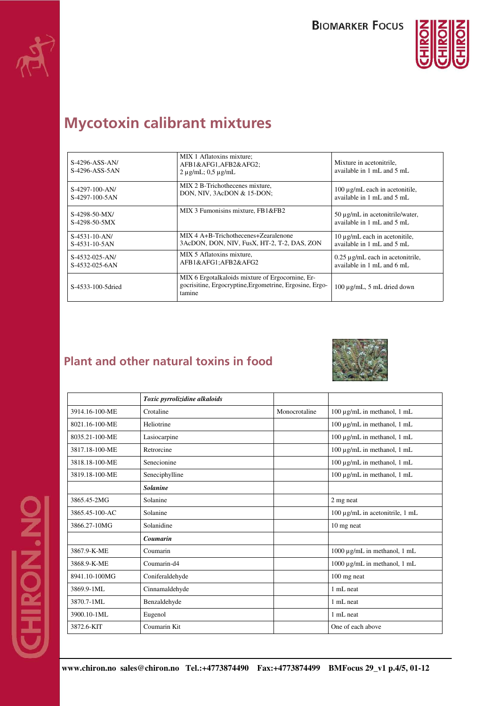



## **Mycotoxin calibrant mixtures**

| $S-4296-ASS-AN/$<br>S-4296-ASS-5AN | MIX 1 Aflatoxins mixture;<br>AFB1&AFG1,AFB2&AFG2<br>$2 \mu$ g/mL; 0,5 $\mu$ g/mL                                      | Mixture in acetonitrile,<br>available in $1 \text{ mL}$ and $5 \text{ mL}$ .        |
|------------------------------------|-----------------------------------------------------------------------------------------------------------------------|-------------------------------------------------------------------------------------|
| $S-4297-100-AN/$<br>S-4297-100-5AN | MIX 2 B-Trichothecenes mixture,<br>DON, NIV, 3AcDON & 15-DON;                                                         | 100 μg/mL each in acetonitile,<br>available in $1 \text{ mL}$ and $5 \text{ mL}$ .  |
| S-4298-50-MX/<br>S-4298-50-5MX     | MIX 3 Fumonisins mixture, FB1&FB2                                                                                     | 50 μg/mL in acetonitrile/water,<br>available in $1 \text{ mL}$ and $5 \text{ mL}$ . |
| $S-4531-10-AN/$<br>$S-4531-10-5AN$ | MIX 4 A+B-Trichothecenes+Zearalenone<br>3AcDON, DON, NIV, FusX, HT-2, T-2, DAS, ZON                                   | 10 μg/mL each in acetonitile,<br>available in 1 mL and 5 mL                         |
| $S-4532-025-AN/$<br>S-4532-025-6AN | MIX 5 Aflatoxins mixture,<br>AFB1&AFG1AFB2&AFG2                                                                       | $0.25 \mu$ g/mL each in acetonitrile,<br>available in 1 mL and 6 mL                 |
| S-4533-100-5dried                  | MIX 6 Ergotalkaloids mixture of Ergocornine, Er-<br>gocrisitine, Ergocryptine, Ergometrine, Ergosine, Ergo-<br>tamine | $100 \mu$ g/mL, 5 mL dried down                                                     |

### **Plant and other natural toxins in food**



|                | Toxic pyrrolizidine alkaloids |               |                                      |
|----------------|-------------------------------|---------------|--------------------------------------|
| 3914.16-100-ME | Crotaline                     | Monocrotaline | 100 μg/mL in methanol, 1 mL          |
| 8021.16-100-ME | Heliotrine                    |               | 100 μg/mL in methanol, 1 mL          |
| 8035.21-100-ME | Lasiocarpine                  |               | 100 μg/mL in methanol, 1 mL          |
| 3817.18-100-ME | Retrorcine                    |               | 100 μg/mL in methanol, 1 mL          |
| 3818.18-100-ME | Senecionine                   |               | 100 μg/mL in methanol, 1 mL          |
| 3819.18-100-ME | Seneciphylline                |               | 100 μg/mL in methanol, 1 mL          |
|                | <b>Solanine</b>               |               |                                      |
| 3865.45-2MG    | Solanine                      |               | 2 mg neat                            |
| 3865.45-100-AC | Solanine                      |               | $100 \mu$ g/mL in acetonitrile, 1 mL |
| 3866.27-10MG   | Solanidine                    |               | 10 mg neat                           |
|                | Coumarin                      |               |                                      |
| 3867.9-K-ME    | Coumarin                      |               | 1000 μg/mL in methanol, 1 mL         |
| 3868.9-K-ME    | Coumarin-d4                   |               | 1000 μg/mL in methanol, 1 mL         |
| 8941.10-100MG  | Coniferaldehyde               |               | 100 mg neat                          |
| 3869.9-1ML     | Cinnamaldehyde                |               | 1 mL neat                            |
| 3870.7-1ML     | Benzaldehyde                  |               | 1 mL neat                            |
| 3900.10-1ML    | Eugenol                       |               | 1 mL neat                            |
| 3872.6-KIT     | Coumarin Kit                  |               | One of each above                    |